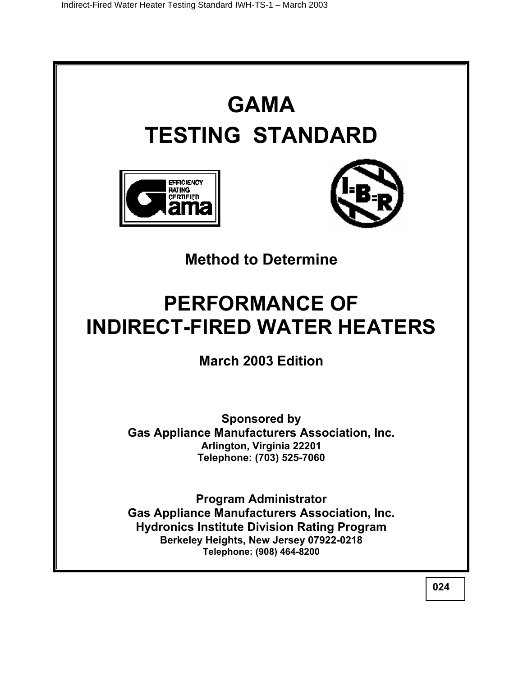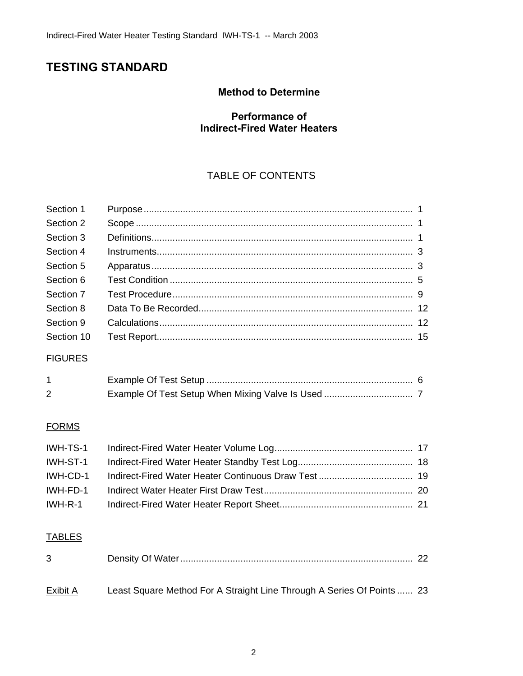# **TESTING STANDARD**

## **Method to Determine**

## **Performance of Indirect-Fired Water Heaters**

## TABLE OF CONTENTS

| Section 1       |                                                                        |  |
|-----------------|------------------------------------------------------------------------|--|
| Section 2       |                                                                        |  |
| Section 3       |                                                                        |  |
| Section 4       |                                                                        |  |
| Section 5       |                                                                        |  |
| Section 6       |                                                                        |  |
| Section 7       |                                                                        |  |
| Section 8       |                                                                        |  |
| Section 9       |                                                                        |  |
| Section 10      |                                                                        |  |
| <b>FIGURES</b>  |                                                                        |  |
| 1               |                                                                        |  |
| 2               |                                                                        |  |
| <b>FORMS</b>    |                                                                        |  |
| IWH-TS-1        |                                                                        |  |
| IWH-ST-1        |                                                                        |  |
| IWH-CD-1        |                                                                        |  |
| IWH-FD-1        |                                                                        |  |
| IWH-R-1         |                                                                        |  |
| <b>TABLES</b>   |                                                                        |  |
| 3               |                                                                        |  |
| <b>Exibit A</b> | Least Square Method For A Straight Line Through A Series Of Points  23 |  |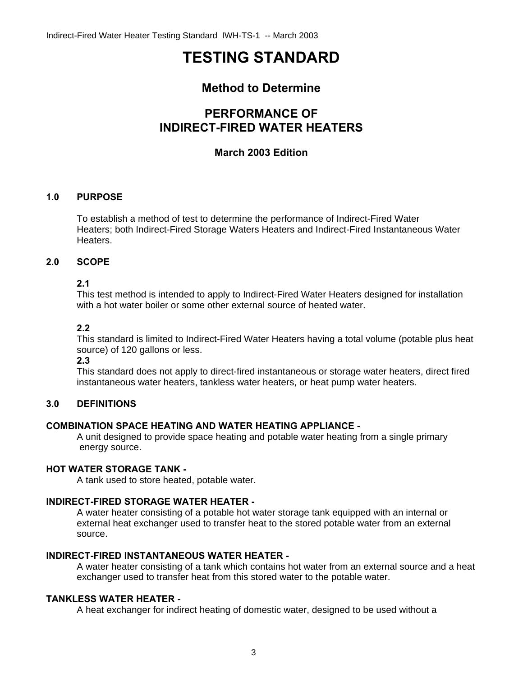# **TESTING STANDARD**

## **Method to Determine**

## **PERFORMANCE OF INDIRECT-FIRED WATER HEATERS**

## **March 2003 Edition**

## **1.0 PURPOSE**

 To establish a method of test to determine the performance of Indirect-Fired Water Heaters; both Indirect-Fired Storage Waters Heaters and Indirect-Fired Instantaneous Water Heaters.

## **2.0 SCOPE**

## **2.1**

This test method is intended to apply to Indirect-Fired Water Heaters designed for installation with a hot water boiler or some other external source of heated water.

## **2.2**

This standard is limited to Indirect-Fired Water Heaters having a total volume (potable plus heat source) of 120 gallons or less.

**2.3**

This standard does not apply to direct-fired instantaneous or storage water heaters, direct fired instantaneous water heaters, tankless water heaters, or heat pump water heaters.

#### **3.0 DEFINITIONS**

#### **COMBINATION SPACE HEATING AND WATER HEATING APPLIANCE -**

 A unit designed to provide space heating and potable water heating from a single primary energy source.

#### **HOT WATER STORAGE TANK -**

A tank used to store heated, potable water.

#### **INDIRECT-FIRED STORAGE WATER HEATER -**

A water heater consisting of a potable hot water storage tank equipped with an internal or external heat exchanger used to transfer heat to the stored potable water from an external source.

#### **INDIRECT-FIRED INSTANTANEOUS WATER HEATER -**

A water heater consisting of a tank which contains hot water from an external source and a heat exchanger used to transfer heat from this stored water to the potable water.

#### **TANKLESS WATER HEATER -**

A heat exchanger for indirect heating of domestic water, designed to be used without a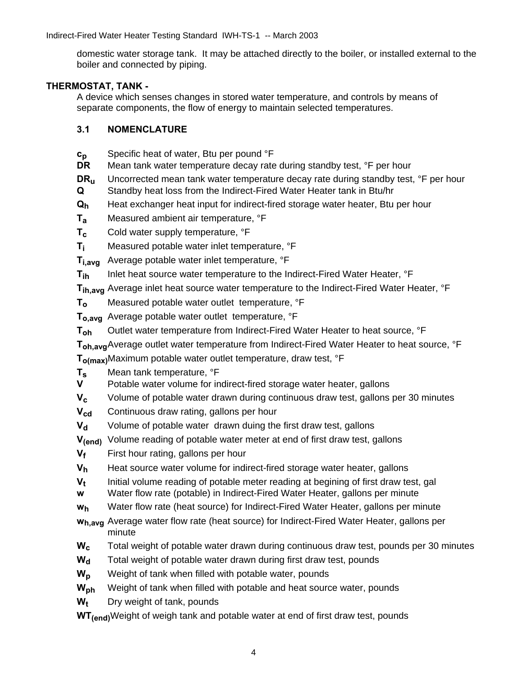domestic water storage tank. It may be attached directly to the boiler, or installed external to the boiler and connected by piping.

#### **THERMOSTAT, TANK -**

 A device which senses changes in stored water temperature, and controls by means of separate components, the flow of energy to maintain selected temperatures.

#### **3.1 NOMENCLATURE**

- **c<sub>p</sub>** Specific heat of water, Btu per pound °F<br>**DR** Mean tank water temperature decay rate
- Mean tank water temperature decay rate during standby test, <sup>o</sup>F per hour
- **DR<sub>u</sub>** Uncorrected mean tank water temperature decay rate during standby test, <sup>o</sup>F per hour  **Q** Standby heat loss from the Indirect-Fired Water Heater tank in Btu/hr
- **Qh** Heat exchanger heat input for indirect-fired storage water heater, Btu per hour
- **Ta** Measured ambient air temperature, °F
- **T<sub>c</sub>** Cold water supply temperature,  ${}^{\circ}$ F
- **T<sub>i</sub>** Measured potable water inlet temperature, °F
- **Ti,avg** Average potable water inlet temperature, °F
- **T<sub>ih</sub>** Inlet heat source water temperature to the Indirect-Fired Water Heater, °F
- **T<sub>ih.avg</sub>** Average inlet heat source water temperature to the Indirect-Fired Water Heater, °F
- **T<sub>o</sub>** Measured potable water outlet temperature, <sup>o</sup>F
- **To,avg** Average potable water outlet temperature, °F
- **Toh** Outlet water temperature from Indirect-Fired Water Heater to heat source, °F
- **T<sub>oh,avg</sub>** Average outlet water temperature from Indirect-Fired Water Heater to heat source, °F

 **To(max)**Maximum potable water outlet temperature, draw test, °F

- **T<sub>s</sub>** Mean tank temperature, °F
- **V** Potable water volume for indirect-fired storage water heater, gallons
- **V<sub>c</sub>** Volume of potable water drawn during continuous draw test, gallons per 30 minutes
- **V<sub>cd</sub>** Continuous draw rating, gallons per hour
- **V<sub>d</sub>** Volume of potable water drawn duing the first draw test, gallons
- **V(end)** Volume reading of potable water meter at end of first draw test, gallons
- **V<sub>f</sub>** First hour rating, gallons per hour
- **V<sub>h</sub>** Heat source water volume for indirect-fired storage water heater, gallons
- **V<sub>t</sub>** linitial volume reading of potable meter reading at begining of first draw test, gal
- **w** Water flow rate (potable) in Indirect-Fired Water Heater, gallons per minute
- **wh** Water flow rate (heat source) for Indirect-Fired Water Heater, gallons per minute
- **wh,avg** Average water flow rate (heat source) for Indirect-Fired Water Heater, gallons per minute
- **Wc** Total weight of potable water drawn during continuous draw test, pounds per 30 minutes
- W<sub>d</sub> Total weight of potable water drawn during first draw test, pounds
- W<sub>p</sub> Weight of tank when filled with potable water, pounds
- W<sub>ph</sub> Weight of tank when filled with potable and heat source water, pounds
- **W<sub>t</sub>** Dry weight of tank, pounds
- **WT(end)**Weight of weigh tank and potable water at end of first draw test, pounds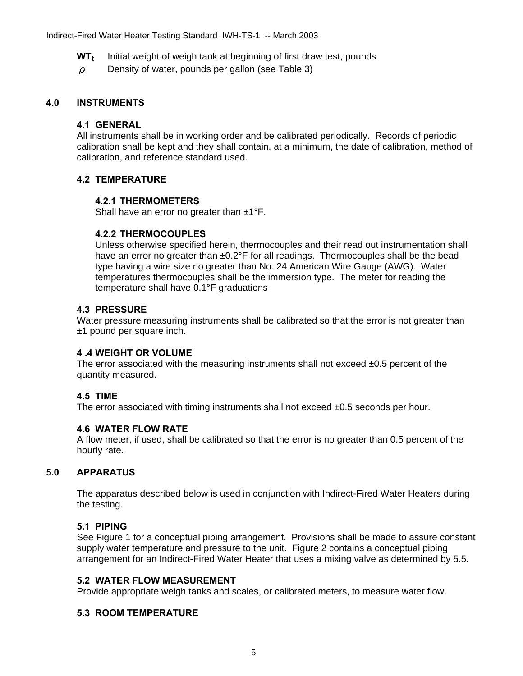- **WT<sub>t</sub>** Initial weight of weigh tank at beginning of first draw test, pounds
- ρ Density of water, pounds per gallon (see Table 3)

#### **4.0 INSTRUMENTS**

#### **4.1 GENERAL**

 All instruments shall be in working order and be calibrated periodically. Records of periodic calibration shall be kept and they shall contain, at a minimum, the date of calibration, method of calibration, and reference standard used.

#### **4.2 TEMPERATURE**

#### **4.2.1 THERMOMETERS**

Shall have an error no greater than  $\pm 1^{\circ}F$ .

#### **4.2.2 THERMOCOUPLES**

Unless otherwise specified herein, thermocouples and their read out instrumentation shall have an error no greater than ±0.2°F for all readings. Thermocouples shall be the bead type having a wire size no greater than No. 24 American Wire Gauge (AWG). Water temperatures thermocouples shall be the immersion type. The meter for reading the temperature shall have 0.1°F graduations

#### **4.3 PRESSURE**

 Water pressure measuring instruments shall be calibrated so that the error is not greater than ±1 pound per square inch.

#### **4 .4 WEIGHT OR VOLUME**

The error associated with the measuring instruments shall not exceed  $\pm 0.5$  percent of the quantity measured.

#### **4.5 TIME**

The error associated with timing instruments shall not exceed  $\pm 0.5$  seconds per hour.

#### **4.6 WATER FLOW RATE**

A flow meter, if used, shall be calibrated so that the error is no greater than 0.5 percent of the hourly rate.

#### **5.0 APPARATUS**

The apparatus described below is used in conjunction with Indirect-Fired Water Heaters during the testing.

#### **5.1 PIPING**

See Figure 1 for a conceptual piping arrangement. Provisions shall be made to assure constant supply water temperature and pressure to the unit. Figure 2 contains a conceptual piping arrangement for an Indirect-Fired Water Heater that uses a mixing valve as determined by 5.5.

#### **5.2 WATER FLOW MEASUREMENT**

Provide appropriate weigh tanks and scales, or calibrated meters, to measure water flow.

#### **5.3 ROOM TEMPERATURE**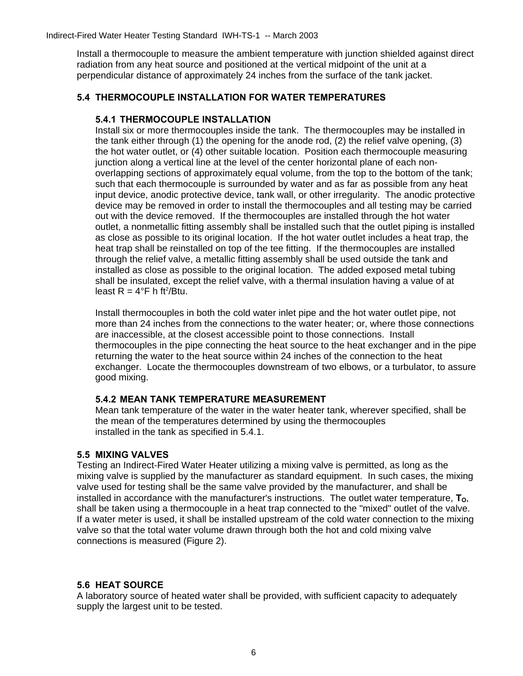Install a thermocouple to measure the ambient temperature with junction shielded against direct radiation from any heat source and positioned at the vertical midpoint of the unit at a perpendicular distance of approximately 24 inches from the surface of the tank jacket.

#### **5.4 THERMOCOUPLE INSTALLATION FOR WATER TEMPERATURES**

#### **5.4.1 THERMOCOUPLE INSTALLATION**

Install six or more thermocouples inside the tank. The thermocouples may be installed in the tank either through (1) the opening for the anode rod, (2) the relief valve opening, (3) the hot water outlet, or (4) other suitable location. Position each thermocouple measuring junction along a vertical line at the level of the center horizontal plane of each nonoverlapping sections of approximately equal volume, from the top to the bottom of the tank; such that each thermocouple is surrounded by water and as far as possible from any heat input device, anodic protective device, tank wall, or other irregularity. The anodic protective device may be removed in order to install the thermocouples and all testing may be carried out with the device removed. If the thermocouples are installed through the hot water outlet, a nonmetallic fitting assembly shall be installed such that the outlet piping is installed as close as possible to its original location. If the hot water outlet includes a heat trap, the heat trap shall be reinstalled on top of the tee fitting. If the thermocouples are installed through the relief valve, a metallic fitting assembly shall be used outside the tank and installed as close as possible to the original location. The added exposed metal tubing shall be insulated, except the relief valve, with a thermal insulation having a value of at least  $R = 4^{\circ}F$  h ft<sup>2</sup>/Btu.

Install thermocouples in both the cold water inlet pipe and the hot water outlet pipe, not more than 24 inches from the connections to the water heater; or, where those connections are inaccessible, at the closest accessible point to those connections. Install thermocouples in the pipe connecting the heat source to the heat exchanger and in the pipe returning the water to the heat source within 24 inches of the connection to the heat exchanger. Locate the thermocouples downstream of two elbows, or a turbulator, to assure good mixing.

#### **5.4.2 MEAN TANK TEMPERATURE MEASUREMENT**

Mean tank temperature of the water in the water heater tank, wherever specified, shall be the mean of the temperatures determined by using the thermocouples installed in the tank as specified in 5.4.1.

#### **5.5 MIXING VALVES**

Testing an Indirect-Fired Water Heater utilizing a mixing valve is permitted, as long as the mixing valve is supplied by the manufacturer as standard equipment. In such cases, the mixing valve used for testing shall be the same valve provided by the manufacturer, and shall be installed in accordance with the manufacturer's instructions. The outlet water temperature,  $T_{\Omega}$ , shall be taken using a thermocouple in a heat trap connected to the "mixed" outlet of the valve. If a water meter is used, it shall be installed upstream of the cold water connection to the mixing valve so that the total water volume drawn through both the hot and cold mixing valve connections is measured (Figure 2).

#### **5.6 HEAT SOURCE**

A laboratory source of heated water shall be provided, with sufficient capacity to adequately supply the largest unit to be tested.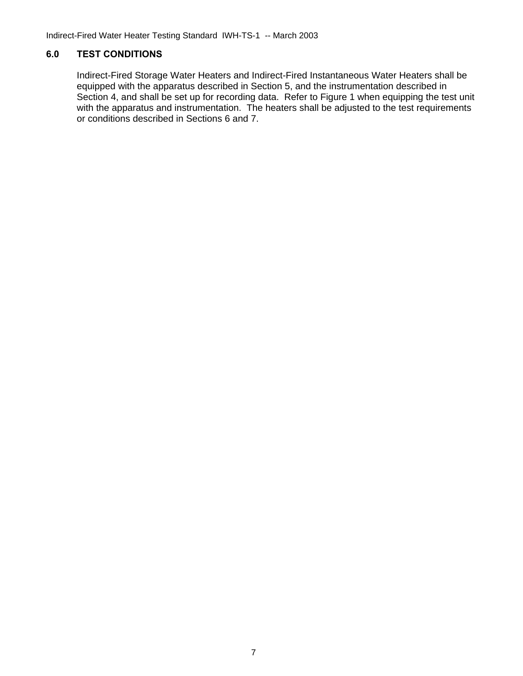Indirect-Fired Water Heater Testing Standard IWH-TS-1 -- March 2003

### **6.0 TEST CONDITIONS**

 Indirect-Fired Storage Water Heaters and Indirect-Fired Instantaneous Water Heaters shall be equipped with the apparatus described in Section 5, and the instrumentation described in Section 4, and shall be set up for recording data. Refer to Figure 1 when equipping the test unit with the apparatus and instrumentation. The heaters shall be adjusted to the test requirements or conditions described in Sections 6 and 7.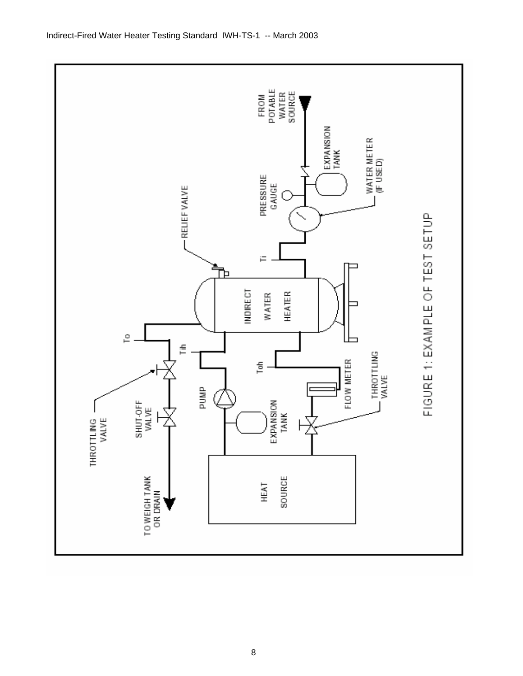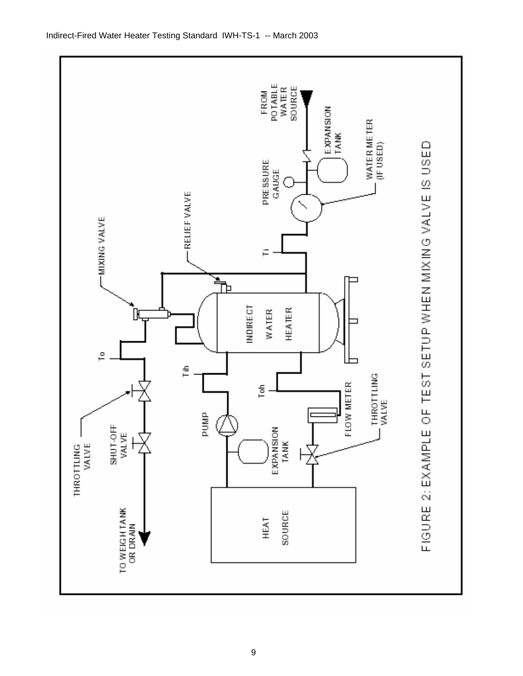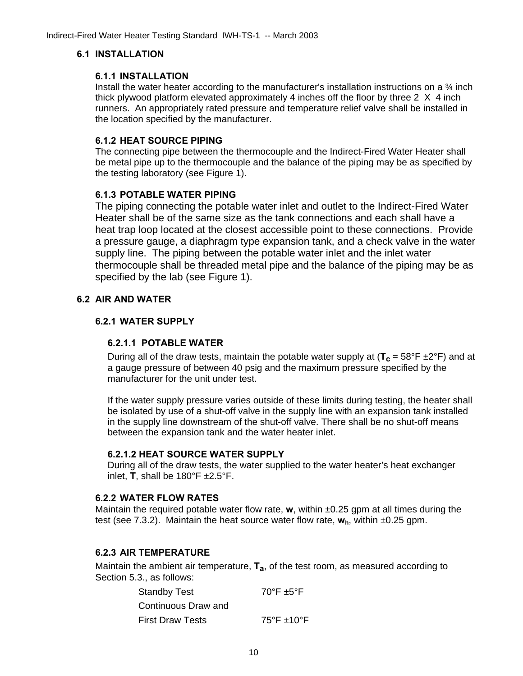#### **6.1 INSTALLATION**

#### **6.1.1 INSTALLATION**

Install the water heater according to the manufacturer's installation instructions on a  $\frac{3}{4}$  inch thick plywood platform elevated approximately 4 inches off the floor by three  $2 \times 4$  inch runners. An appropriately rated pressure and temperature relief valve shall be installed in the location specified by the manufacturer.

#### **6.1.2 HEAT SOURCE PIPING**

The connecting pipe between the thermocouple and the Indirect-Fired Water Heater shall be metal pipe up to the thermocouple and the balance of the piping may be as specified by the testing laboratory (see Figure 1).

## **6.1.3 POTABLE WATER PIPING**

The piping connecting the potable water inlet and outlet to the Indirect-Fired Water Heater shall be of the same size as the tank connections and each shall have a heat trap loop located at the closest accessible point to these connections. Provide a pressure gauge, a diaphragm type expansion tank, and a check valve in the water supply line. The piping between the potable water inlet and the inlet water thermocouple shall be threaded metal pipe and the balance of the piping may be as specified by the lab (see Figure 1).

## **6.2 AIR AND WATER**

## **6.2.1 WATER SUPPLY**

#### **6.2.1.1 POTABLE WATER**

During all of the draw tests, maintain the potable water supply at  $(T_c = 58^\circ F \pm 2^\circ F)$  and at a gauge pressure of between 40 psig and the maximum pressure specified by the manufacturer for the unit under test.

If the water supply pressure varies outside of these limits during testing, the heater shall be isolated by use of a shut-off valve in the supply line with an expansion tank installed in the supply line downstream of the shut-off valve. There shall be no shut-off means between the expansion tank and the water heater inlet.

#### **6.2.1.2 HEAT SOURCE WATER SUPPLY**

During all of the draw tests, the water supplied to the water heater's heat exchanger inlet, **T**, shall be 180°F ±2.5°F.

### **6.2.2 WATER FLOW RATES**

 Maintain the required potable water flow rate, **w**, within ±0.25 gpm at all times during the test (see 7.3.2). Maintain the heat source water flow rate, **wh**, within ±0.25 gpm.

#### **6.2.3 AIR TEMPERATURE**

Maintain the ambient air temperature, **Ta**, of the test room, as measured according to Section 5.3., as follows:

| <b>Standby Test</b>     | $70^{\circ}$ F ±5°F                  |
|-------------------------|--------------------------------------|
| Continuous Draw and     |                                      |
| <b>First Draw Tests</b> | $75^{\circ}$ F $\pm$ 10 $^{\circ}$ F |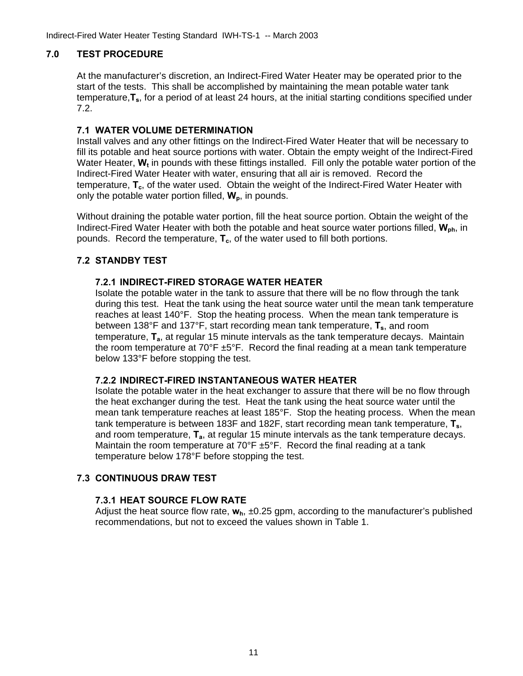## **7.0 TEST PROCEDURE**

At the manufacturer's discretion, an Indirect-Fired Water Heater may be operated prior to the start of the tests. This shall be accomplished by maintaining the mean potable water tank temperature,**Ts**, for a period of at least 24 hours, at the initial starting conditions specified under 7.2.

#### **7.1 WATER VOLUME DETERMINATION**

Install valves and any other fittings on the Indirect-Fired Water Heater that will be necessary to fill its potable and heat source portions with water. Obtain the empty weight of the Indirect-Fired Water Heater, **W<sub>t</sub>** in pounds with these fittings installed. Fill only the potable water portion of the Indirect-Fired Water Heater with water, ensuring that all air is removed. Record the temperature, **T<sub>c</sub>**, of the water used. Obtain the weight of the Indirect-Fired Water Heater with only the potable water portion filled,  $W_p$ , in pounds.

Without draining the potable water portion, fill the heat source portion. Obtain the weight of the Indirect-Fired Water Heater with both the potable and heat source water portions filled, **Wph**, in pounds. Record the temperature,  $T_c$ , of the water used to fill both portions.

#### **7.2 STANDBY TEST**

#### **7.2.1 INDIRECT-FIRED STORAGE WATER HEATER**

Isolate the potable water in the tank to assure that there will be no flow through the tank during this test. Heat the tank using the heat source water until the mean tank temperature reaches at least 140°F. Stop the heating process. When the mean tank temperature is between 138°F and 137°F, start recording mean tank temperature, **Ts**, and room temperature, **Ta**, at regular 15 minute intervals as the tank temperature decays. Maintain the room temperature at  $70^{\circ}$ F  $\pm 5^{\circ}$ F. Record the final reading at a mean tank temperature below 133°F before stopping the test.

#### **7.2.2 INDIRECT-FIRED INSTANTANEOUS WATER HEATER**

Isolate the potable water in the heat exchanger to assure that there will be no flow through the heat exchanger during the test. Heat the tank using the heat source water until the mean tank temperature reaches at least 185°F. Stop the heating process. When the mean tank temperature is between 183F and 182F, start recording mean tank temperature, **Ts**, and room temperature, **Ta**, at regular 15 minute intervals as the tank temperature decays. Maintain the room temperature at 70°F ±5°F. Record the final reading at a tank temperature below 178°F before stopping the test.

#### **7.3 CONTINUOUS DRAW TEST**

#### **7.3.1 HEAT SOURCE FLOW RATE**

Adjust the heat source flow rate,  $w_h$ , ±0.25 gpm, according to the manufacturer's published recommendations, but not to exceed the values shown in Table 1.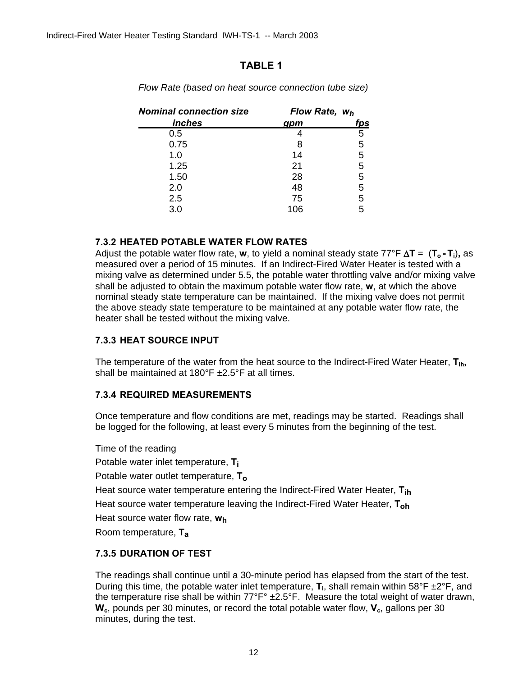## **TABLE 1**

| <b>Nominal connection size</b> | Flow Rate, wh |            |
|--------------------------------|---------------|------------|
| inches                         | gpm           | <u>fps</u> |
| 0.5                            |               | 5          |
| 0.75                           | 8             | 5          |
| 1.0                            | 14            | 5          |
| 1.25                           | 21            | 5          |
| 1.50                           | 28            | 5          |
| 2.0                            | 48            | 5          |
| 2.5                            | 75            | 5          |
| 3.0                            | 106           | 5          |

*Flow Rate (based on heat source connection tube size)* 

## **7.3.2 HEATED POTABLE WATER FLOW RATES**

Adjust the potable water flow rate, **w**, to yield a nominal steady state 77°F Δ**T** = (**To - Ti**)**,** as measured over a period of 15 minutes. If an Indirect-Fired Water Heater is tested with a mixing valve as determined under 5.5, the potable water throttling valve and/or mixing valve shall be adjusted to obtain the maximum potable water flow rate, **w**, at which the above nominal steady state temperature can be maintained. If the mixing valve does not permit the above steady state temperature to be maintained at any potable water flow rate, the heater shall be tested without the mixing valve.

## **7.3.3 HEAT SOURCE INPUT**

The temperature of the water from the heat source to the Indirect-Fired Water Heater, **Tih,** shall be maintained at 180°F ±2.5°F at all times.

## **7.3.4 REQUIRED MEASUREMENTS**

Once temperature and flow conditions are met, readings may be started. Readings shall be logged for the following, at least every 5 minutes from the beginning of the test.

Time of the reading Potable water inlet temperature, **Ti** Potable water outlet temperature, **To** Heat source water temperature entering the Indirect-Fired Water Heater, **Tih** Heat source water temperature leaving the Indirect-Fired Water Heater, **Toh** Heat source water flow rate, **wh** Room temperature, **Ta** 

## **7.3.5 DURATION OF TEST**

The readings shall continue until a 30-minute period has elapsed from the start of the test. During this time, the potable water inlet temperature, **T**<sub>i</sub>, shall remain within 58°F ±2°F, and the temperature rise shall be within 77°F° ±2.5°F. Measure the total weight of water drawn, **W<sub>c</sub>**, pounds per 30 minutes, or record the total potable water flow, **V<sub>c</sub>**, gallons per 30 minutes, during the test.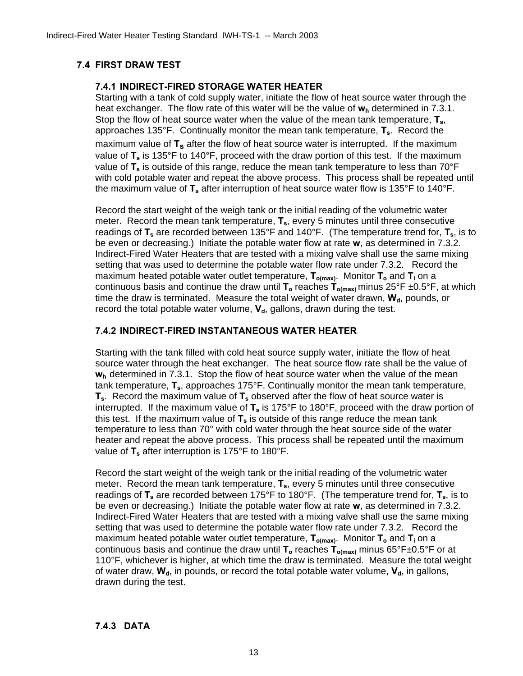## **7.4 FIRST DRAW TEST**

### **7.4.1 INDIRECT-FIRED STORAGE WATER HEATER**

Starting with a tank of cold supply water, initiate the flow of heat source water through the heat exchanger. The flow rate of this water will be the value of  $w_h$  determined in 7.3.1. Stop the flow of heat source water when the value of the mean tank temperature,  $T_s$ , approaches 135°F. Continually monitor the mean tank temperature, **Ts**. Record the maximum value of T<sub>s</sub> after the flow of heat source water is interrupted. If the maximum value of T<sub>s</sub> is 135°F to 140°F, proceed with the draw portion of this test. If the maximum value of **Ts** is outside of this range, reduce the mean tank temperature to less than 70°F with cold potable water and repeat the above process. This process shall be repeated until the maximum value of **Ts** after interruption of heat source water flow is 135°F to 140°F.

Record the start weight of the weigh tank or the initial reading of the volumetric water meter. Record the mean tank temperature, **Ts**, every 5 minutes until three consecutive readings of T<sub>s</sub> are recorded between 135°F and 140°F. (The temperature trend for, T<sub>s</sub>, is to be even or decreasing.) Initiate the potable water flow at rate **w**, as determined in 7.3.2. Indirect-Fired Water Heaters that are tested with a mixing valve shall use the same mixing setting that was used to determine the potable water flow rate under 7.3.2. Record the maximum heated potable water outlet temperature,  $T_{o(max)}$ . Monitor  $T_o$  and  $T_i$  on a continuous basis and continue the draw until T<sub>o</sub> reaches T<sub>o(max)</sub> minus 25°F ±0.5°F, at which time the draw is terminated. Measure the total weight of water drawn, W<sub>d</sub>, pounds, or record the total potable water volume,  $V_d$ , gallons, drawn during the test.

## **7.4.2 INDIRECT-FIRED INSTANTANEOUS WATER HEATER**

Starting with the tank filled with cold heat source supply water, initiate the flow of heat source water through the heat exchanger. The heat source flow rate shall be the value of **w<sub>h</sub>** determined in 7.3.1. Stop the flow of heat source water when the value of the mean tank temperature, **Ts**, approaches 175°F. Continually monitor the mean tank temperature, T<sub>s</sub>. Record the maximum value of T<sub>s</sub> observed after the flow of heat source water is interrupted. If the maximum value of T<sub>s</sub> is 175°F to 180°F, proceed with the draw portion of this test. If the maximum value of  $T_s$  is outside of this range reduce the mean tank temperature to less than 70° with cold water through the heat source side of the water heater and repeat the above process. This process shall be repeated until the maximum value of **T**<sub>s</sub> after interruption is 175°F to 180°F.

Record the start weight of the weigh tank or the initial reading of the volumetric water meter. Record the mean tank temperature, **Ts**, every 5 minutes until three consecutive readings of  $T_s$  are recorded between 175°F to 180°F. (The temperature trend for,  $T_s$ , is to be even or decreasing.) Initiate the potable water flow at rate **w**, as determined in 7.3.2. Indirect-Fired Water Heaters that are tested with a mixing valve shall use the same mixing setting that was used to determine the potable water flow rate under 7.3.2. Record the maximum heated potable water outlet temperature,  $T_{o(max)}$ . Monitor  $T_o$  and  $T_i$  on a continuous basis and continue the draw until **To** reaches **To(max)** minus 65°F±0.5°F or at 110°F, whichever is higher, at which time the draw is terminated. Measure the total weight of water draw,  $W_d$ , in pounds, or record the total potable water volume,  $V_d$ , in gallons, drawn during the test.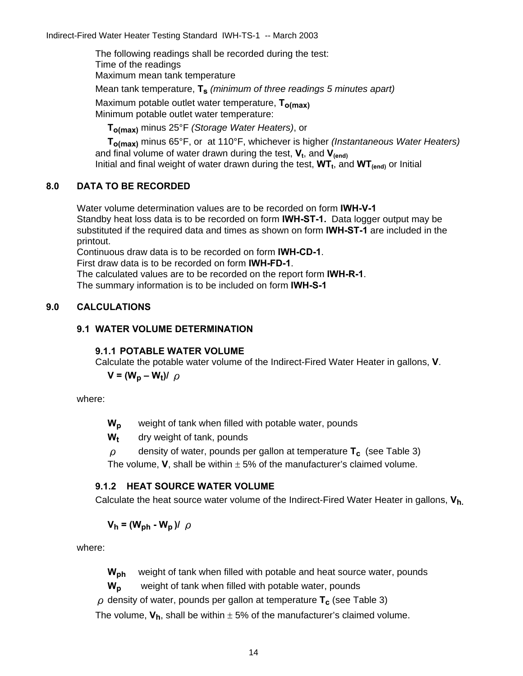Indirect-Fired Water Heater Testing Standard IWH-TS-1 -- March 2003

The following readings shall be recorded during the test: Time of the readings

Maximum mean tank temperature

Mean tank temperature, **Ts** *(minimum of three readings 5 minutes apart)*

Maximum potable outlet water temperature, **To(max)** Minimum potable outlet water temperature:

**To(max)** minus 25°F *(Storage Water Heaters)*, or

**To(max)** minus 65°F, or at 110°F, whichever is higher *(Instantaneous Water Heaters)* and final volume of water drawn during the test, **V**<sub>t</sub>, and **V**<sub>(end)</sub> Initial and final weight of water drawn during the test,  $WT_t$ , and  $WT_{(end)}$  or Initial

## **8.0 DATA TO BE RECORDED**

 Water volume determination values are to be recorded on form **IWH-V-1** Standby heat loss data is to be recorded on form **IWH-ST-1.** Data logger output may be substituted if the required data and times as shown on form **IWH-ST-1** are included in the printout.

Continuous draw data is to be recorded on form **IWH-CD-1**.

First draw data is to be recorded on form **IWH-FD-1**.

The calculated values are to be recorded on the report form **IWH-R-1**.

The summary information is to be included on form **IWH-S-1** 

## **9.0 CALCULATIONS**

## **9.1 WATER VOLUME DETERMINATION**

## **9.1.1 POTABLE WATER VOLUME**

Calculate the potable water volume of the Indirect-Fired Water Heater in gallons, **V**.

$$
V = (W_p - W_t)/\rho
$$

where:

W<sub>n</sub> weight of tank when filled with potable water, pounds

**W<sub>t</sub>** dry weight of tank, pounds

ρdensity of water, pounds per gallon at temperature **Tc** (see Table 3)

The volume, **V**, shall be within  $\pm$  5% of the manufacturer's claimed volume.

## **9.1.2 HEAT SOURCE WATER VOLUME**

Calculate the heat source water volume of the Indirect-Fired Water Heater in gallons, **Vh.**

 $V_h = (W_{bh} - W_p)/\rho$ 

where:

**W<sub>ph</sub>** weight of tank when filled with potable and heat source water, pounds

W<sub>p</sub> weight of tank when filled with potable water, pounds

 $\rho$  density of water, pounds per gallon at temperature  $T_c$  (see Table 3)

The volume,  $V_h$ , shall be within  $\pm$  5% of the manufacturer's claimed volume.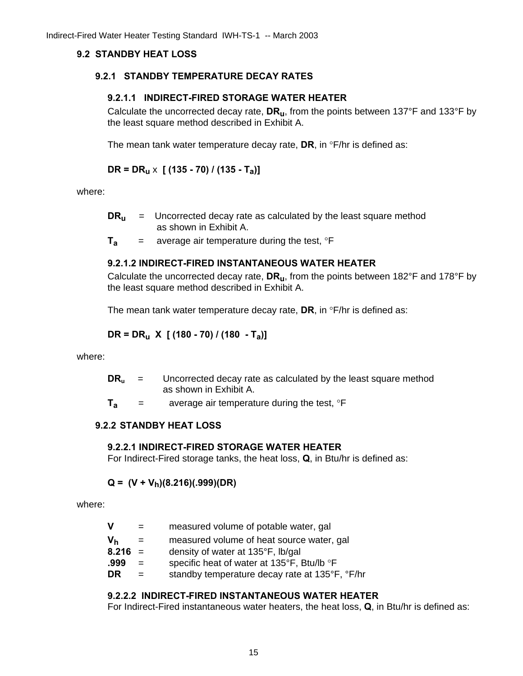### **9.2 STANDBY HEAT LOSS**

#### **9.2.1 STANDBY TEMPERATURE DECAY RATES**

#### **9.2.1.1 INDIRECT-FIRED STORAGE WATER HEATER**

Calculate the uncorrected decay rate, **DRu**, from the points between 137°F and 133°F by the least square method described in Exhibit A.

The mean tank water temperature decay rate, **DR**, in °F/hr is defined as:

## **DR = DRu** x **[ (135 - 70) / (135 - Ta)]**

where:

- **DR<sub>u</sub>** = Uncorrected decay rate as calculated by the least square method as shown in Exhibit A.
- $T_a$  = average air temperature during the test,  ${}^{\circ}$ F

## **9.2.1.2 INDIRECT-FIRED INSTANTANEOUS WATER HEATER**

Calculate the uncorrected decay rate, **DRu**, from the points between 182°F and 178°F by the least square method described in Exhibit A.

The mean tank water temperature decay rate, **DR**, in °F/hr is defined as:

$$
DR = DR_u X [ (180 - 70) / (180 - T_a) ]
$$

where:

| DR, | Uncorrected decay rate as calculated by the least square method |
|-----|-----------------------------------------------------------------|
|     | as shown in Exhibit A.                                          |

 $T_a$  = average air temperature during the test,  ${}^{\circ}$ F

#### **9.2.2 STANDBY HEAT LOSS**

#### **9.2.2.1 INDIRECT-FIRED STORAGE WATER HEATER**

For Indirect-Fired storage tanks, the heat loss, **Q**, in Btu/hr is defined as:

## $Q = (V + V_h)(8.216)(.999)(DR)$

where:

| v         | $=$ | measured volume of potable water, gal          |
|-----------|-----|------------------------------------------------|
| Vh        | $=$ | measured volume of heat source water, gal      |
| $8.216 =$ |     | density of water at 135°F, lb/gal              |
| .999      | $=$ | specific heat of water at 135°F, Btu/lb °F     |
| DR.       | $=$ | standby temperature decay rate at 135°F, °F/hr |

#### **9.2.2.2 INDIRECT-FIRED INSTANTANEOUS WATER HEATER**

For Indirect-Fired instantaneous water heaters, the heat loss, **Q**, in Btu/hr is defined as: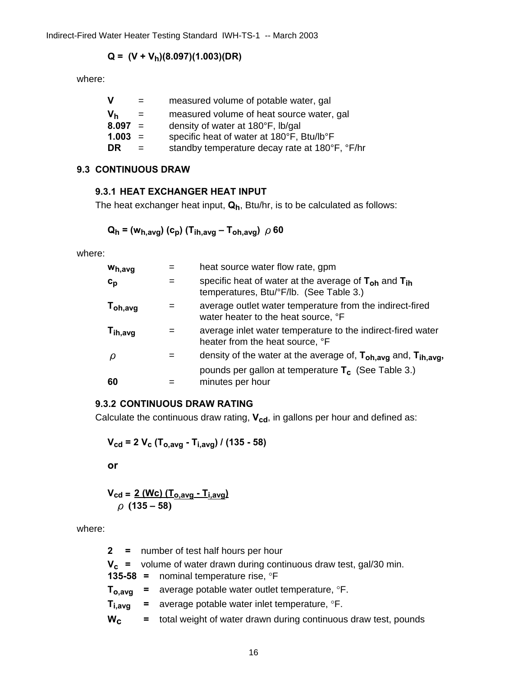## $Q = (V + V_h)(8.097)(1.003)(DR)$

where:

| v         |     | measured volume of potable water, gal          |
|-----------|-----|------------------------------------------------|
| Vь        | $=$ | measured volume of heat source water, gal      |
| $8.097 =$ |     | density of water at 180°F, lb/gal              |
| $1.003 =$ |     | specific heat of water at 180°F, Btu/lb°F      |
| DR.       | $=$ | standby temperature decay rate at 180°F, °F/hr |
|           |     |                                                |

#### **9.3 CONTINUOUS DRAW**

## **9.3.1 HEAT EXCHANGER HEAT INPUT**

The heat exchanger heat input,  $Q_h$ , Btu/hr, is to be calculated as follows:

$$
Q_h = (w_{h,avg}) (c_p) (T_{ih,avg} - T_{oh,avg}) \nho 60
$$

where:

| Wh, avg       |     | heat source water flow rate, gpm                                                                          |
|---------------|-----|-----------------------------------------------------------------------------------------------------------|
| $c_p$         | $=$ | specific heat of water at the average of $T_{oh}$ and $T_{ih}$<br>temperatures, Btu/°F/lb. (See Table 3.) |
| $T_{oh, avg}$ | $=$ | average outlet water temperature from the indirect-fired<br>water heater to the heat source, °F           |
| $T_{ih,avg}$  | $=$ | average inlet water temperature to the indirect-fired water<br>heater from the heat source, °F            |
| ρ             | $=$ | density of the water at the average of, T <sub>oh,avg</sub> and, T <sub>ih,avg</sub> ,                    |
| 60            |     | pounds per gallon at temperature $T_c$ (See Table 3.)<br>minutes per hour                                 |

## **9.3.2 CONTINUOUS DRAW RATING**

Calculate the continuous draw rating,  $V_{cd}$ , in gallons per hour and defined as:

$$
V_{\rm cd} = 2 V_{\rm c} (T_{\rm o,avg} - T_{\rm i,avg}) / (135 - 58)
$$

**or** 

$$
V_{cd} = \frac{2 (Wc) (T_{o,avg} - T_{i,avg})}{\rho (135 - 58)}
$$

where:

|             | 2 = number of test half hours per hour                                   |
|-------------|--------------------------------------------------------------------------|
|             | $V_c$ = volume of water drawn during continuous draw test, gal/30 min.   |
|             | 135-58 = nominal temperature rise, $\textdegree$ F                       |
|             | $T_{o,avg}$ = average potable water outlet temperature, $\textdegree$ F. |
| $T_{i,avg}$ | $=$ average potable water inlet temperature, $\degree$ F.                |
| $W_{C}$     | = total weight of water drawn during continuous draw test, pounds        |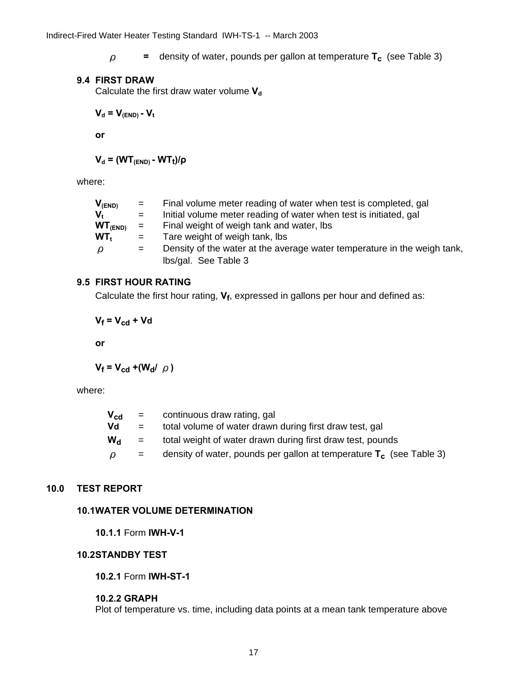$\rho$  **=** density of water, pounds per gallon at temperature  $T_c$  (see Table 3)

#### **9.4 FIRST DRAW**

Calculate the first draw water volume V<sub>d</sub>

 $V_d = V_{(END)} - V_t$ 

 **or** 

 $V_d$  = (WT<sub>(END)</sub> - WT<sub>t</sub>)/ρ

where:

| $V_{(END)}$            | $=$ | Final volume meter reading of water when test is completed, gal          |
|------------------------|-----|--------------------------------------------------------------------------|
| v.                     | $=$ | Initial volume meter reading of water when test is initiated, gal        |
| WT <sub>(END)</sub>    | $=$ | Final weight of weigh tank and water, lbs                                |
| $WT_t$                 | $=$ | Tare weight of weigh tank, lbs                                           |
| $\boldsymbol{\varrho}$ | $=$ | Density of the water at the average water temperature in the weigh tank, |
|                        |     | Ibs/gal. See Table 3                                                     |

#### **9.5 FIRST HOUR RATING**

Calculate the first hour rating,  $V_f$ , expressed in gallons per hour and defined as:

 $V_f = V_{cd} + Vd$ 

**or** 

 $V_f = V_{cd} + (W_d / \rho)$ 

where:

| total volume of water drawn during first draw test, gal                |
|------------------------------------------------------------------------|
| total weight of water drawn during first draw test, pounds             |
| density of water, pounds per gallon at temperature $T_c$ (see Table 3) |
|                                                                        |

## **10.0 TEST REPORT**

#### **10.1 WATER VOLUME DETERMINATION**

 **10.1.1** Form **IWH-V-1** 

#### **10.2 STANDBY TEST**

 **10.2.1** Form **IWH-ST-1** 

#### **10.2.2 GRAPH**

Plot of temperature vs. time, including data points at a mean tank temperature above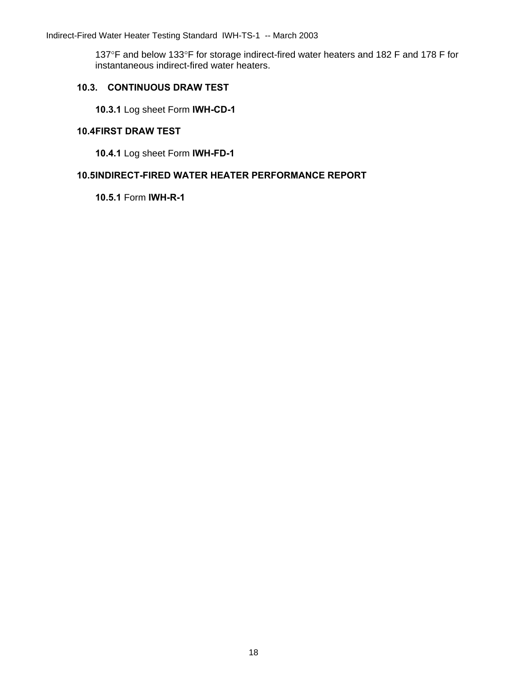137°F and below 133°F for storage indirect-fired water heaters and 182 F and 178 F for instantaneous indirect-fired water heaters.

### **10.3. CONTINUOUS DRAW TEST**

**10.3.1** Log sheet Form **IWH-CD-1** 

#### **10.4 FIRST DRAW TEST**

**10.4.1** Log sheet Form **IWH-FD-1**

## **10.5 INDIRECT-FIRED WATER HEATER PERFORMANCE REPORT**

 **10.5.1** Form **IWH-R-1**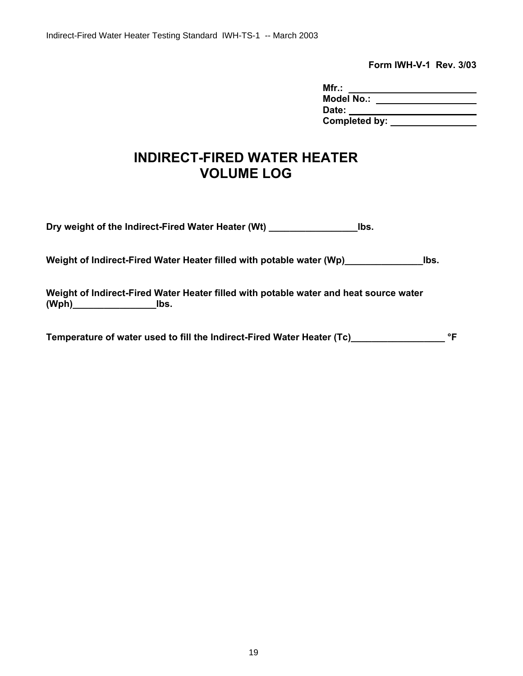**Form IWH-V-1 Rev. 3/03** 

| Mfr.:             |  |
|-------------------|--|
| <b>Model No.:</b> |  |
| Date:             |  |
| Completed by:     |  |

# **INDIRECT-FIRED WATER HEATER VOLUME LOG**

**Dry weight of the Indirect-Fired Water Heater (Wt) \_\_\_\_\_\_\_\_\_\_\_\_\_\_\_\_\_lbs.** 

Weight of Indirect-Fired Water Heater filled with potable water (Wp)\_\_\_\_\_\_\_\_\_\_\_\_\_\_\_\_\_\_\_\_\_\_lbs.

**Weight of Indirect-Fired Water Heater filled with potable water and heat source water (Wph)\_\_\_\_\_\_\_\_\_\_\_\_\_\_\_\_lbs.** 

**Temperature of water used to fill the Indirect-Fired Water Heater (Tc)\_\_\_\_\_\_\_\_\_\_\_\_\_\_\_\_\_\_ °F**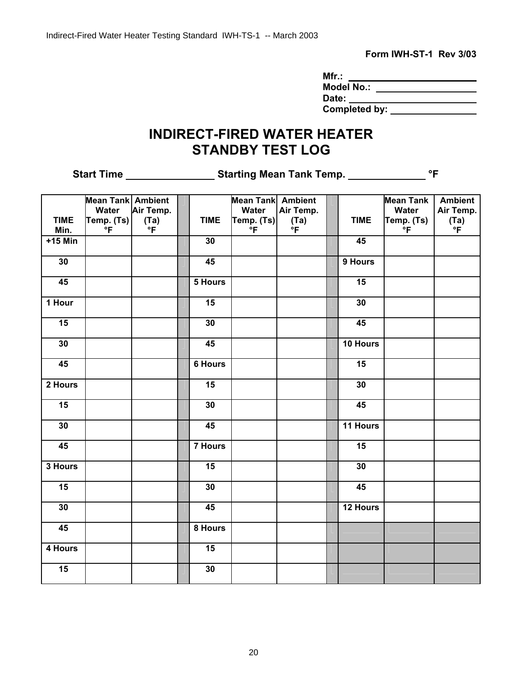**Form IWH-ST-1 Rev 3/03** 

| Mfr.:             |  |
|-------------------|--|
| <b>Model No.:</b> |  |
| Date:             |  |
| Completed by:     |  |

# **INDIRECT-FIRED WATER HEATER STANDBY TEST LOG**

**Start Time \_\_\_\_\_\_\_\_\_\_\_\_\_\_\_\_\_\_\_\_\_\_ Starting Mean Tank Temp. \_\_\_\_\_\_\_\_\_\_\_\_\_\_\_\_\_\_\_ °F** 

|                 | <b>Mean Tank Ambient</b> |              |                 | <b>Mean Tank</b> Ambient |           |                 | <b>Mean Tank</b> | <b>Ambient</b> |
|-----------------|--------------------------|--------------|-----------------|--------------------------|-----------|-----------------|------------------|----------------|
|                 | Water                    | Air Temp.    |                 | Water                    | Air Temp. |                 | Water            | Air Temp.      |
| <b>TIME</b>     | Temp. (Ts)               |              | <b>TIME</b>     | Temp. (Ts)               | (Ta)      | <b>TIME</b>     | Temp. (Ts)       |                |
| Min.            | $^{\circ}$ F             | $(Ta)$<br>°F |                 | $^{\circ}$ F             | °F        |                 | $^{\circ}$ F     | $(Ta)$<br>°F   |
| $+15$ Min       |                          |              | 30              |                          |           | 45              |                  |                |
|                 |                          |              |                 |                          |           |                 |                  |                |
| 30              |                          |              | 45              |                          |           | 9 Hours         |                  |                |
| 45              |                          |              | 5 Hours         |                          |           | 15              |                  |                |
| 1 Hour          |                          |              | $\overline{15}$ |                          |           | 30              |                  |                |
| 15              |                          |              | 30              |                          |           | 45              |                  |                |
| 30              |                          |              | 45              |                          |           | 10 Hours        |                  |                |
| 45              |                          |              | <b>6 Hours</b>  |                          |           | 15              |                  |                |
| 2 Hours         |                          |              | 15              |                          |           | 30              |                  |                |
| $\overline{15}$ |                          |              | 30              |                          |           | $\overline{45}$ |                  |                |
| 30              |                          |              | 45              |                          |           | 11 Hours        |                  |                |
| 45              |                          |              | 7 Hours         |                          |           | 15              |                  |                |
| 3 Hours         |                          |              | 15              |                          |           | 30              |                  |                |
| 15              |                          |              | 30              |                          |           | 45              |                  |                |
| 30              |                          |              | 45              |                          |           | 12 Hours        |                  |                |
| 45              |                          |              | 8 Hours         |                          |           |                 |                  |                |
| 4 Hours         |                          |              | 15              |                          |           |                 |                  |                |
| 15              |                          |              | 30              |                          |           |                 |                  |                |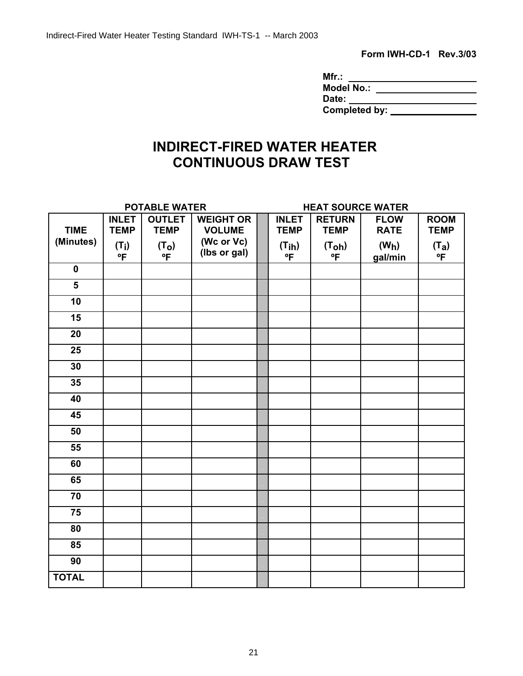**Form IWH-CD-1 Rev.3/03** 

| Mfr.:             |  |
|-------------------|--|
| <b>Model No.:</b> |  |
| Date:             |  |
| Completed by:     |  |

# **INDIRECT-FIRED WATER HEATER CONTINUOUS DRAW TEST**

| <b>POTABLE WATER</b>    |                             |                              |                                   | <b>HEAT SOURCE WATER</b>    |                              |                              |                            |
|-------------------------|-----------------------------|------------------------------|-----------------------------------|-----------------------------|------------------------------|------------------------------|----------------------------|
| <b>TIME</b>             | <b>INLET</b><br><b>TEMP</b> | <b>OUTLET</b><br><b>TEMP</b> | <b>WEIGHT OR</b><br><b>VOLUME</b> | <b>INLET</b><br><b>TEMP</b> | <b>RETURN</b><br><b>TEMP</b> | <b>FLOW</b><br><b>RATE</b>   | <b>ROOM</b><br><b>TEMP</b> |
| (Minutes)               | $(T_i)$<br>ºF               | (T <sub>O</sub> )<br>°F      | (Wc or Vc)<br>(lbs or gal)        | (Tih)<br>°F                 | (T <sub>oh</sub> )<br>ºF     | (W <sub>h</sub> )<br>gal/min | $(T_a)$<br>°F              |
| $\mathbf 0$             |                             |                              |                                   |                             |                              |                              |                            |
| $\overline{\mathbf{5}}$ |                             |                              |                                   |                             |                              |                              |                            |
| 10                      |                             |                              |                                   |                             |                              |                              |                            |
| 15                      |                             |                              |                                   |                             |                              |                              |                            |
| 20                      |                             |                              |                                   |                             |                              |                              |                            |
| 25                      |                             |                              |                                   |                             |                              |                              |                            |
| 30                      |                             |                              |                                   |                             |                              |                              |                            |
| 35                      |                             |                              |                                   |                             |                              |                              |                            |
| 40                      |                             |                              |                                   |                             |                              |                              |                            |
| 45                      |                             |                              |                                   |                             |                              |                              |                            |
| 50                      |                             |                              |                                   |                             |                              |                              |                            |
| 55                      |                             |                              |                                   |                             |                              |                              |                            |
| 60                      |                             |                              |                                   |                             |                              |                              |                            |
| 65                      |                             |                              |                                   |                             |                              |                              |                            |
| 70                      |                             |                              |                                   |                             |                              |                              |                            |
| 75                      |                             |                              |                                   |                             |                              |                              |                            |
| 80                      |                             |                              |                                   |                             |                              |                              |                            |
| 85                      |                             |                              |                                   |                             |                              |                              |                            |
| 90                      |                             |                              |                                   |                             |                              |                              |                            |
| <b>TOTAL</b>            |                             |                              |                                   |                             |                              |                              |                            |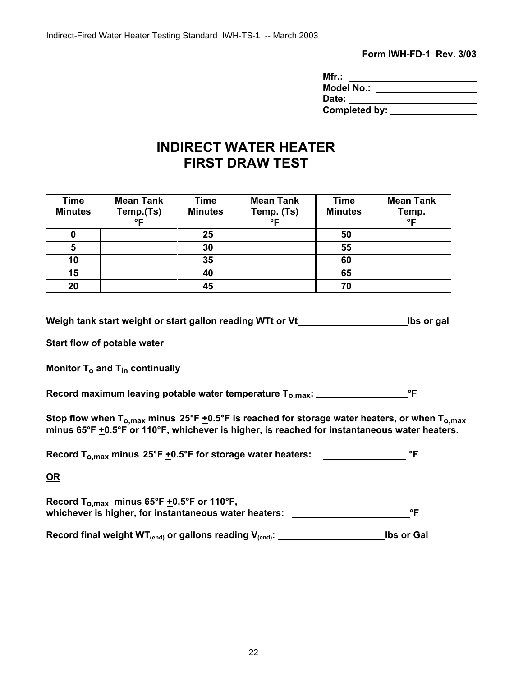**Form IWH-FD-1 Rev. 3/03** 

| Mfr.:             |  |
|-------------------|--|
| <b>Model No.:</b> |  |
| Date:             |  |
| Completed by:     |  |

# **INDIRECT WATER HEATER FIRST DRAW TEST**

| <b>Time</b><br><b>Minutes</b> | <b>Mean Tank</b><br>Temp.(Ts)<br>$^{\circ}$ E | Time<br><b>Minutes</b> | <b>Mean Tank</b><br>Temp. (Ts)<br>$^{\circ}$ E | <b>Time</b><br><b>Minutes</b> | <b>Mean Tank</b><br>Temp.<br>°F |
|-------------------------------|-----------------------------------------------|------------------------|------------------------------------------------|-------------------------------|---------------------------------|
|                               |                                               | 25                     |                                                | 50                            |                                 |
| 5                             |                                               | 30                     |                                                | 55                            |                                 |
| 10                            |                                               | 35                     |                                                | 60                            |                                 |
| 15                            |                                               | 40                     |                                                | 65                            |                                 |
| 20                            |                                               | 45                     |                                                | 70                            |                                 |

**Weigh tank start weight or start gallon reading WTt or Vt lbs or gal** 

**Start flow of potable water** 

**Monitor T<sub>o</sub> and T<sub>in</sub> continually** 

**Record maximum leaving potable water temperature To,max: °F** 

Stop flow when T<sub>o,max</sub> minus 25°F  $\pm$ 0.5°F is reached for storage water heaters, or when T<sub>o,max</sub> minus 65°F  $\pm$ 0.5°F or 110°F, whichever is higher, is reached for instantaneous water heaters.

Record T<sub>o,max</sub> minus 25°F +0.5°F for storage water heaters: \_\_\_\_\_\_\_\_\_\_\_\_\_\_\_\_\_\_\_\_ °F

**OR**

Record T<sub>o,max</sub> minus  $65^{\circ}F \pm 0.5^{\circ}F$  or 110°F, whichever is higher, for instantaneous water heaters: \_\_\_\_\_\_\_\_\_\_\_\_\_\_\_\_\_\_\_\_\_\_\_\_\_\_\_°F

**Record final weight WT(end) or gallons reading V(end): lbs or Gal**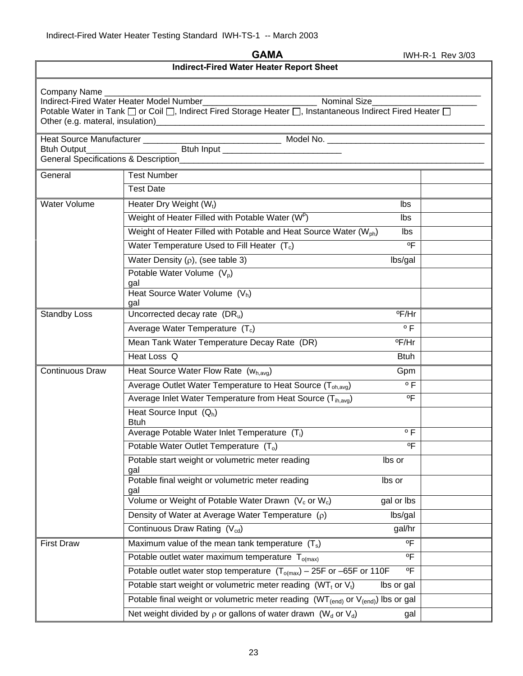**GAMA IWH-R-1 Rev 3/03** 

**Indirect-Fired Water Heater Report Sheet** 

| Company Name           | Indirect-Fired Water Heater Model Number_<br><b>Nominal Size</b><br>Potable Water in Tank □ or Coil □, Indirect Fired Storage Heater □, Instantaneous Indirect Fired Heater □                                                                             |  |
|------------------------|-----------------------------------------------------------------------------------------------------------------------------------------------------------------------------------------------------------------------------------------------------------|--|
|                        |                                                                                                                                                                                                                                                           |  |
|                        | Heat Source Manufacturer<br>Btuh Output<br>Duman Btuh Input<br>Duman Btuh Input<br>Btuh Input<br>Duman Btuh Input<br>Duman Btuh Input<br>Duman Btuh Input<br>Duman Btuh Input<br>Duman Btuh Input<br>Duman Btuh Input<br>Duman Btuh Input<br>Duman Btuh I |  |
|                        |                                                                                                                                                                                                                                                           |  |
| General                | <b>Test Number</b>                                                                                                                                                                                                                                        |  |
|                        | <b>Test Date</b>                                                                                                                                                                                                                                          |  |
| Water Volume           | Heater Dry Weight (Wt)<br>Ibs                                                                                                                                                                                                                             |  |
|                        | Weight of Heater Filled with Potable Water (WP)<br>Ibs                                                                                                                                                                                                    |  |
|                        | Weight of Heater Filled with Potable and Heat Source Water (W <sub>ph</sub> )<br>Ibs                                                                                                                                                                      |  |
|                        | Water Temperature Used to Fill Heater $(T_c)$<br>$^{\circ}$ F                                                                                                                                                                                             |  |
|                        | Water Density $(\rho)$ , (see table 3)<br>lbs/gal                                                                                                                                                                                                         |  |
|                        | Potable Water Volume $(V_p)$                                                                                                                                                                                                                              |  |
|                        | gal                                                                                                                                                                                                                                                       |  |
|                        | Heat Source Water Volume $(V_h)$<br>gal                                                                                                                                                                                                                   |  |
| <b>Standby Loss</b>    | Uncorrected decay rate $(DR_u)$<br>°F/Hr                                                                                                                                                                                                                  |  |
|                        | $^{\circ}$ F<br>Average Water Temperature $(T_c)$                                                                                                                                                                                                         |  |
|                        | Mean Tank Water Temperature Decay Rate (DR)<br>°F/Hr                                                                                                                                                                                                      |  |
|                        | Heat Loss Q<br><b>Btuh</b>                                                                                                                                                                                                                                |  |
| <b>Continuous Draw</b> | Heat Source Water Flow Rate (Wh, avg)<br>Gpm                                                                                                                                                                                                              |  |
|                        | $\overline{\circ}$ F<br>Average Outlet Water Temperature to Heat Source (T <sub>oh.avg</sub> )                                                                                                                                                            |  |
|                        | Average Inlet Water Temperature from Heat Source (T <sub>ih.avg</sub> )<br>$^{\circ}$ F                                                                                                                                                                   |  |
|                        | Heat Source Input $(Q_h)$<br><b>Btuh</b>                                                                                                                                                                                                                  |  |
|                        | Average Potable Water Inlet Temperature (T <sub>i</sub> )<br>$^{\circ}$ F                                                                                                                                                                                 |  |
|                        | $^{\circ}$ F<br>Potable Water Outlet Temperature $(T_0)$                                                                                                                                                                                                  |  |
|                        | Potable start weight or volumetric meter reading<br>lbs or<br>gal                                                                                                                                                                                         |  |
|                        | Potable final weight or volumetric meter reading<br>lbs or<br>gal                                                                                                                                                                                         |  |
|                        | Volume or Weight of Potable Water Drawn (V <sub>c</sub> or W <sub>c</sub> )<br>gal or lbs                                                                                                                                                                 |  |
|                        | Density of Water at Average Water Temperature $(\rho)$<br>lbs/gal                                                                                                                                                                                         |  |
|                        | Continuous Draw Rating (V <sub>cd</sub> )<br>gal/hr                                                                                                                                                                                                       |  |
| <b>First Draw</b>      | $^{\circ}$ F<br>Maximum value of the mean tank temperature $(T_s)$                                                                                                                                                                                        |  |
|                        | $^{\circ}$<br>Potable outlet water maximum temperature $T_{\text{o(max)}}$                                                                                                                                                                                |  |
|                        | Potable outlet water stop temperature $(T_{o(max)} - 25F$ or -65F or 110F<br>$^{\circ}$ F                                                                                                                                                                 |  |
|                        | Potable start weight or volumetric meter reading (WT <sub>t</sub> or $V_t$ )<br>lbs or gal                                                                                                                                                                |  |
|                        | Potable final weight or volumetric meter reading $(WT_{(end)}$ or $V_{(end)}$ ) lbs or gal                                                                                                                                                                |  |
|                        | Net weight divided by $\rho$ or gallons of water drawn (W <sub>d</sub> or V <sub>d</sub> )<br>gal                                                                                                                                                         |  |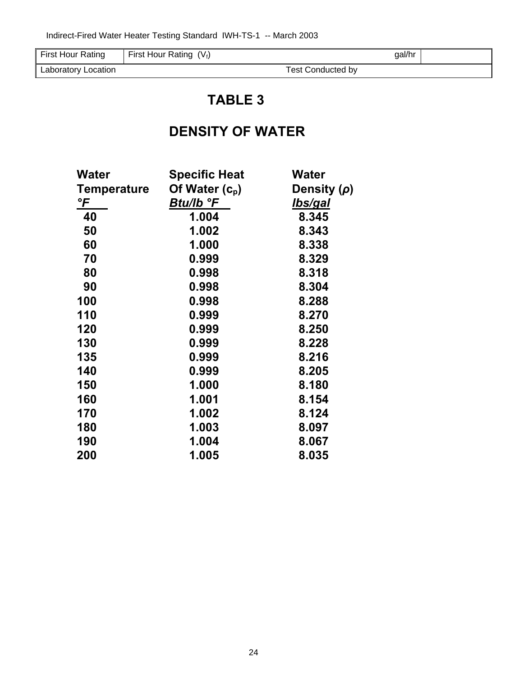| $-$<br>First Hour<br>Rating | $(V_f)$<br>--<br>First Hour Rating | gal/hr                |  |
|-----------------------------|------------------------------------|-----------------------|--|
| Location<br>∟aboratory '    |                                    | . Conducted bv<br>est |  |

# **TABLE 3**

# **DENSITY OF WATER**

| <b>Water</b>       | <b>Specific Heat</b> | <b>Water</b>     |
|--------------------|----------------------|------------------|
| <b>Temperature</b> | Of Water $(c_{p})$   | Density $(\rho)$ |
| °F                 | Btu/lb °F            | lbs/gal          |
| 40                 | 1.004                | 8.345            |
| 50                 | 1.002                | 8.343            |
| 60                 | 1.000                | 8.338            |
| 70                 | 0.999                | 8.329            |
| 80                 | 0.998                | 8.318            |
| 90                 | 0.998                | 8.304            |
| 100                | 0.998                | 8.288            |
| 110                | 0.999                | 8.270            |
| 120                | 0.999                | 8.250            |
| 130                | 0.999                | 8.228            |
| 135                | 0.999                | 8.216            |
| 140                | 0.999                | 8.205            |
| 150                | 1.000                | 8.180            |
| 160                | 1.001                | 8.154            |
| 170                | 1.002                | 8.124            |
| 180                | 1.003                | 8.097            |
| 190                | 1.004                | 8.067            |
| 200                | 1.005                | 8.035            |